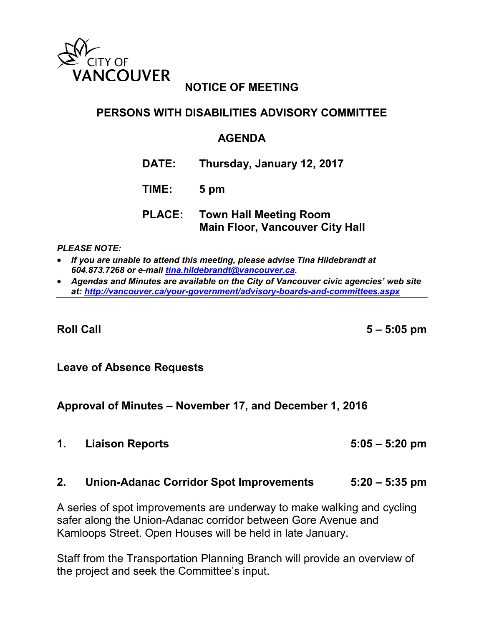

# **NOTICE OF MEETING**

# **PERSONS WITH DISABILITIES ADVISORY COMMITTEE**

## **AGENDA**

- **DATE: Thursday, January 12, 2017**
- **TIME: 5 pm**

# **PLACE: Town Hall Meeting Room Main Floor, Vancouver City Hall**

*PLEASE NOTE:*

- *If you are unable to attend this meeting, please advise Tina Hildebrandt at 604.873.7268 or e-mail [tina.hildebrandt@vancouver.ca.](mailto:tina.hildebrandt@vancouver.ca)*
- *Agendas and Minutes are available on the City of Vancouver civic agencies' web site at:<http://vancouver.ca/your-government/advisory-boards-and-committees.aspx>*

**Roll Call 5 – 5:05 pm**

### **Leave of Absence Requests**

**Approval of Minutes – November 17, and December 1, 2016**

**1. Liaison Reports 5:05 – 5:20 pm**

#### **2. Union-Adanac Corridor Spot Improvements 5:20 – 5:35 pm**

A series of spot improvements are underway to make walking and cycling safer along the Union-Adanac corridor between Gore Avenue and Kamloops Street. Open Houses will be held in late January.

Staff from the Transportation Planning Branch will provide an overview of the project and seek the Committee's input.